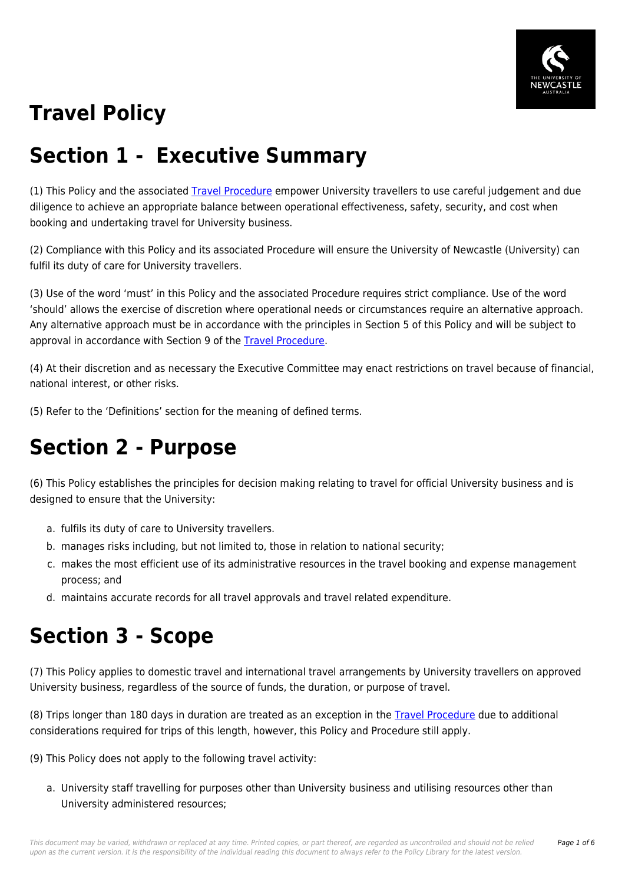

# **Travel Policy**

#### **Section 1 - Executive Summary**

(1) This Policy and the associated [Travel Procedure](https://policies.newcastle.edu.au/document/view-current.php?id=18) empower University travellers to use careful judgement and due diligence to achieve an appropriate balance between operational effectiveness, safety, security, and cost when booking and undertaking travel for University business.

(2) Compliance with this Policy and its associated Procedure will ensure the University of Newcastle (University) can fulfil its duty of care for University travellers.

(3) Use of the word 'must' in this Policy and the associated Procedure requires strict compliance. Use of the word 'should' allows the exercise of discretion where operational needs or circumstances require an alternative approach. Any alternative approach must be in accordance with the principles in Section 5 of this Policy and will be subject to approval in accordance with Section 9 of the [Travel Procedure](https://policies.newcastle.edu.au/document/view-current.php?id=18).

(4) At their discretion and as necessary the Executive Committee may enact restrictions on travel because of financial, national interest, or other risks.

(5) Refer to the 'Definitions' section for the meaning of defined terms.

#### **Section 2 - Purpose**

(6) This Policy establishes the principles for decision making relating to travel for official University business and is designed to ensure that the University:

- a. fulfils its duty of care to University travellers.
- b. manages risks including, but not limited to, those in relation to national security;
- c. makes the most efficient use of its administrative resources in the travel booking and expense management process; and
- d. maintains accurate records for all travel approvals and travel related expenditure.

#### **Section 3 - Scope**

(7) This Policy applies to domestic travel and international travel arrangements by University travellers on approved University business, regardless of the source of funds, the duration, or purpose of travel.

(8) Trips longer than 180 days in duration are treated as an exception in the [Travel Procedure](https://policies.newcastle.edu.au/document/view-current.php?id=18) due to additional considerations required for trips of this length, however, this Policy and Procedure still apply.

(9) This Policy does not apply to the following travel activity:

a. University staff travelling for purposes other than University business and utilising resources other than University administered resources;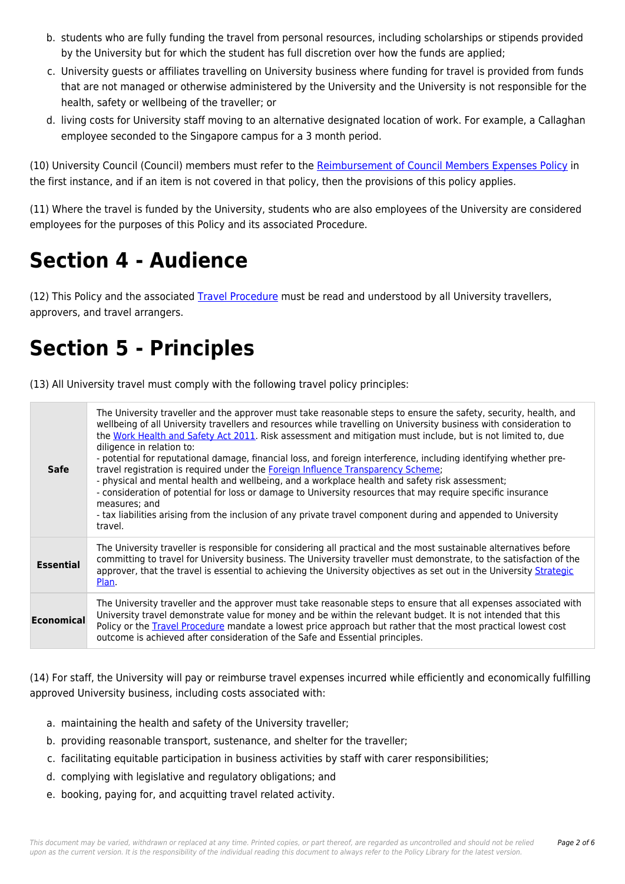- b. students who are fully funding the travel from personal resources, including scholarships or stipends provided by the University but for which the student has full discretion over how the funds are applied;
- c. University guests or affiliates travelling on University business where funding for travel is provided from funds that are not managed or otherwise administered by the University and the University is not responsible for the health, safety or wellbeing of the traveller; or
- d. living costs for University staff moving to an alternative designated location of work. For example, a Callaghan employee seconded to the Singapore campus for a 3 month period.

(10) University Council (Council) members must refer to the [Reimbursement of Council Members Expenses Policy](https://policies.newcastle.edu.au/document/view-current.php?id=73.1.1) in the first instance, and if an item is not covered in that policy, then the provisions of this policy applies.

(11) Where the travel is funded by the University, students who are also employees of the University are considered employees for the purposes of this Policy and its associated Procedure.

# **Section 4 - Audience**

(12) This Policy and the associated [Travel Procedure](https://policies.newcastle.edu.au/document/view-current.php?id=18) must be read and understood by all University travellers, approvers, and travel arrangers.

### **Section 5 - Principles**

(13) All University travel must comply with the following travel policy principles:

| <b>Safe</b>      | The University traveller and the approver must take reasonable steps to ensure the safety, security, health, and<br>wellbeing of all University travellers and resources while travelling on University business with consideration to<br>the Work Health and Safety Act 2011. Risk assessment and mitigation must include, but is not limited to, due<br>diligence in relation to:<br>- potential for reputational damage, financial loss, and foreign interference, including identifying whether pre-<br>travel registration is required under the Foreign Influence Transparency Scheme;<br>- physical and mental health and wellbeing, and a workplace health and safety risk assessment;<br>- consideration of potential for loss or damage to University resources that may require specific insurance<br>measures; and<br>- tax liabilities arising from the inclusion of any private travel component during and appended to University<br>travel. |
|------------------|-------------------------------------------------------------------------------------------------------------------------------------------------------------------------------------------------------------------------------------------------------------------------------------------------------------------------------------------------------------------------------------------------------------------------------------------------------------------------------------------------------------------------------------------------------------------------------------------------------------------------------------------------------------------------------------------------------------------------------------------------------------------------------------------------------------------------------------------------------------------------------------------------------------------------------------------------------------|
| <b>Essential</b> | The University traveller is responsible for considering all practical and the most sustainable alternatives before<br>committing to travel for University business. The University traveller must demonstrate, to the satisfaction of the<br>approver, that the travel is essential to achieving the University objectives as set out in the University Strategic<br>Plan                                                                                                                                                                                                                                                                                                                                                                                                                                                                                                                                                                                   |
| Economical       | The University traveller and the approver must take reasonable steps to ensure that all expenses associated with<br>University travel demonstrate value for money and be within the relevant budget. It is not intended that this<br>Policy or the Travel Procedure mandate a lowest price approach but rather that the most practical lowest cost<br>outcome is achieved after consideration of the Safe and Essential principles.                                                                                                                                                                                                                                                                                                                                                                                                                                                                                                                         |

(14) For staff, the University will pay or reimburse travel expenses incurred while efficiently and economically fulfilling approved University business, including costs associated with:

- a. maintaining the health and safety of the University traveller;
- b. providing reasonable transport, sustenance, and shelter for the traveller;
- c. facilitating equitable participation in business activities by staff with carer responsibilities;
- d. complying with legislative and regulatory obligations; and
- e. booking, paying for, and acquitting travel related activity.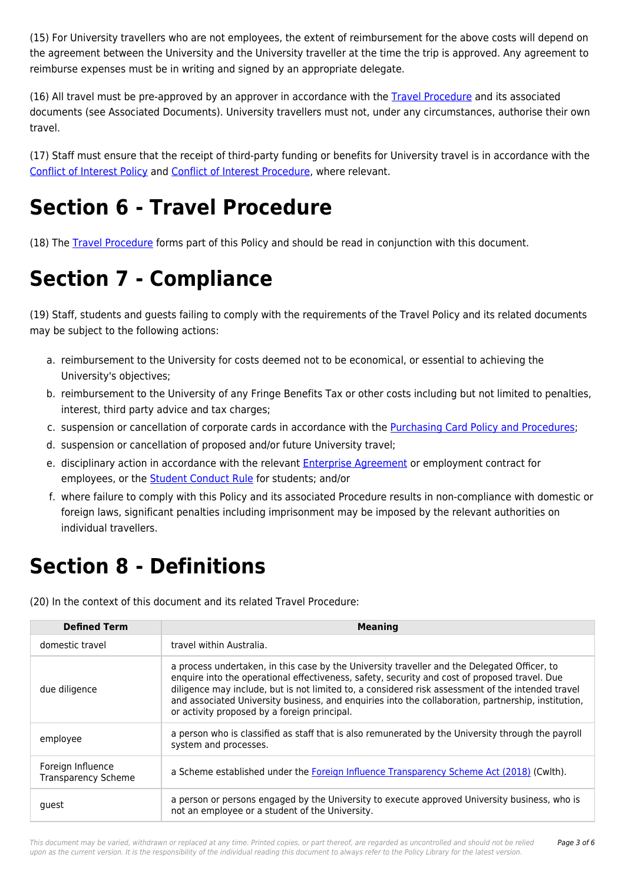(15) For University travellers who are not employees, the extent of reimbursement for the above costs will depend on the agreement between the University and the University traveller at the time the trip is approved. Any agreement to reimburse expenses must be in writing and signed by an appropriate delegate.

(16) All travel must be pre-approved by an approver in accordance with the [Travel Procedure](https://policies.newcastle.edu.au/document/view-current.php?id=18) and its associated documents (see Associated Documents). University travellers must not, under any circumstances, authorise their own travel.

(17) Staff must ensure that the receipt of third-party funding or benefits for University travel is in accordance with the [Conflict of Interest Policy](https://policies.newcastle.edu.au/document/view-current.php?id=192) and [Conflict of Interest Procedure](https://policies.newcastle.edu.au/document/view-current.php?id=310), where relevant.

# **Section 6 - Travel Procedure**

(18) The [Travel Procedure](https://policies.newcastle.edu.au/document/view-current.php?id=18) forms part of this Policy and should be read in conjunction with this document.

## **Section 7 - Compliance**

(19) Staff, students and guests failing to comply with the requirements of the Travel Policy and its related documents may be subject to the following actions:

- a. reimbursement to the University for costs deemed not to be economical, or essential to achieving the University's objectives;
- b. reimbursement to the University of any Fringe Benefits Tax or other costs including but not limited to penalties, interest, third party advice and tax charges;
- c. suspension or cancellation of corporate cards in accordance with the [Purchasing Card Policy and Procedures;](https://policies.newcastle.edu.au/document/view-current.php?id=86)
- d. suspension or cancellation of proposed and/or future University travel;
- e. disciplinary action in accordance with the relevant **[Enterprise Agreement](https://policies.newcastle.edu.au/download.php?id=32&version=1&associated)** or employment contract for employees, or the **[Student Conduct Rule](https://policies.newcastle.edu.au/document/view-current.php?id=34)** for students; and/or
- f. where failure to comply with this Policy and its associated Procedure results in non-compliance with domestic or foreign laws, significant penalties including imprisonment may be imposed by the relevant authorities on individual travellers.

### **Section 8 - Definitions**

(20) In the context of this document and its related Travel Procedure:

| <b>Defined Term</b>                             | <b>Meaning</b>                                                                                                                                                                                                                                                                                                                                                                                                                                            |
|-------------------------------------------------|-----------------------------------------------------------------------------------------------------------------------------------------------------------------------------------------------------------------------------------------------------------------------------------------------------------------------------------------------------------------------------------------------------------------------------------------------------------|
| domestic travel                                 | travel within Australia.                                                                                                                                                                                                                                                                                                                                                                                                                                  |
| due diligence                                   | a process undertaken, in this case by the University traveller and the Delegated Officer, to<br>enquire into the operational effectiveness, safety, security and cost of proposed travel. Due<br>diligence may include, but is not limited to, a considered risk assessment of the intended travel<br>and associated University business, and enquiries into the collaboration, partnership, institution,<br>or activity proposed by a foreign principal. |
| employee                                        | a person who is classified as staff that is also remunerated by the University through the payroll<br>system and processes.                                                                                                                                                                                                                                                                                                                               |
| Foreign Influence<br><b>Transparency Scheme</b> | a Scheme established under the Foreign Influence Transparency Scheme Act (2018) (Cwlth).                                                                                                                                                                                                                                                                                                                                                                  |
| quest                                           | a person or persons engaged by the University to execute approved University business, who is<br>not an employee or a student of the University.                                                                                                                                                                                                                                                                                                          |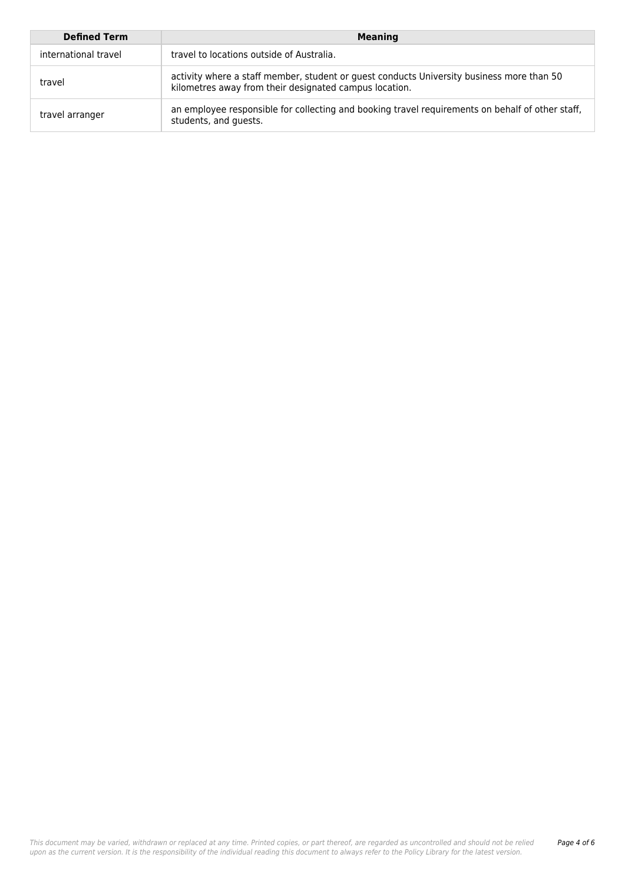| <b>Defined Term</b>  | <b>Meaning</b>                                                                                                                                      |
|----------------------|-----------------------------------------------------------------------------------------------------------------------------------------------------|
| international travel | travel to locations outside of Australia.                                                                                                           |
| travel               | activity where a staff member, student or guest conducts University business more than 50<br>kilometres away from their designated campus location. |
| travel arranger      | an employee responsible for collecting and booking travel requirements on behalf of other staff,<br>students, and quests.                           |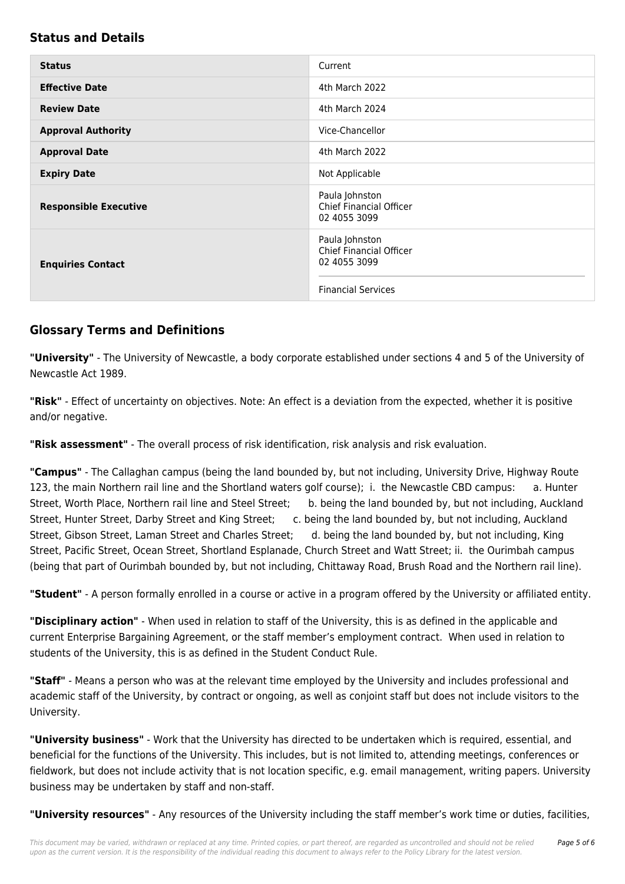#### **Status and Details**

| <b>Status</b>                | Current                                                                                       |
|------------------------------|-----------------------------------------------------------------------------------------------|
| <b>Effective Date</b>        | 4th March 2022                                                                                |
| <b>Review Date</b>           | 4th March 2024                                                                                |
| <b>Approval Authority</b>    | Vice-Chancellor                                                                               |
| <b>Approval Date</b>         | 4th March 2022                                                                                |
| <b>Expiry Date</b>           | Not Applicable                                                                                |
| <b>Responsible Executive</b> | Paula Johnston<br><b>Chief Financial Officer</b><br>02 4055 3099                              |
| <b>Enquiries Contact</b>     | Paula Johnston<br><b>Chief Financial Officer</b><br>02 4055 3099<br><b>Financial Services</b> |

#### **Glossary Terms and Definitions**

**"University"** - The University of Newcastle, a body corporate established under sections 4 and 5 of the University of Newcastle Act 1989.

**"Risk"** - Effect of uncertainty on objectives. Note: An effect is a deviation from the expected, whether it is positive and/or negative.

**"Risk assessment"** - The overall process of risk identification, risk analysis and risk evaluation.

**"Campus"** - The Callaghan campus (being the land bounded by, but not including, University Drive, Highway Route 123, the main Northern rail line and the Shortland waters golf course); i. the Newcastle CBD campus: a. Hunter Street, Worth Place, Northern rail line and Steel Street; b. being the land bounded by, but not including, Auckland Street, Hunter Street, Darby Street and King Street; c. being the land bounded by, but not including, Auckland Street, Gibson Street, Laman Street and Charles Street; d. being the land bounded by, but not including, King Street, Pacific Street, Ocean Street, Shortland Esplanade, Church Street and Watt Street; ii. the Ourimbah campus (being that part of Ourimbah bounded by, but not including, Chittaway Road, Brush Road and the Northern rail line).

**"Student"** - A person formally enrolled in a course or active in a program offered by the University or affiliated entity.

**"Disciplinary action"** - When used in relation to staff of the University, this is as defined in the applicable and current Enterprise Bargaining Agreement, or the staff member's employment contract. When used in relation to students of the University, this is as defined in the Student Conduct Rule.

**"Staff"** - Means a person who was at the relevant time employed by the University and includes professional and academic staff of the University, by contract or ongoing, as well as conjoint staff but does not include visitors to the University.

**"University business"** - Work that the University has directed to be undertaken which is required, essential, and beneficial for the functions of the University. This includes, but is not limited to, attending meetings, conferences or fieldwork, but does not include activity that is not location specific, e.g. email management, writing papers. University business may be undertaken by staff and non-staff.

**"University resources"** - Any resources of the University including the staff member's work time or duties, facilities,